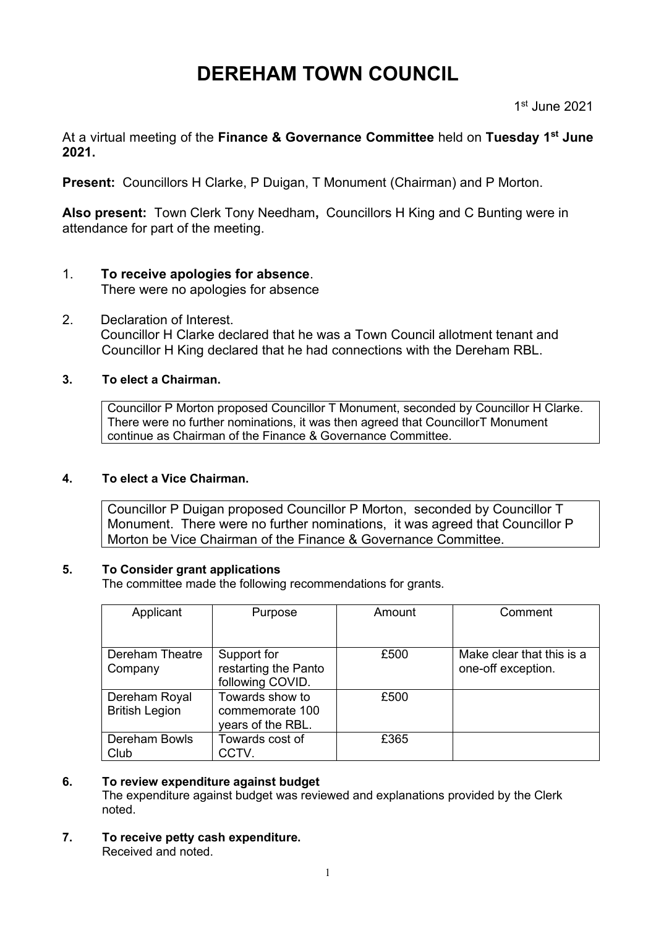# **DEREHAM TOWN COUNCIL**

1 st June 2021

At a virtual meeting of the **Finance & Governance Committee** held on **Tuesday 1 st June 2021.**

**Present:** Councillors H Clarke, P Duigan, T Monument (Chairman) and P Morton.

**Also present:** Town Clerk Tony Needham**,** Councillors H King and C Bunting were in attendance for part of the meeting.

# 1. **To receive apologies for absence**.

There were no apologies for absence

2. Declaration of Interest. Councillor H Clarke declared that he was a Town Council allotment tenant and Councillor H King declared that he had connections with the Dereham RBL.

# **3. To elect a Chairman.**

Councillor P Morton proposed Councillor T Monument, seconded by Councillor H Clarke. There were no further nominations, it was then agreed that CouncillorT Monument continue as Chairman of the Finance & Governance Committee.

# **4. To elect a Vice Chairman.**

Councillor P Duigan proposed Councillor P Morton, seconded by Councillor T Monument. There were no further nominations, it was agreed that Councillor P Morton be Vice Chairman of the Finance & Governance Committee.

# **5. To Consider grant applications**

The committee made the following recommendations for grants.

| Applicant                              | Purpose                                                 | Amount | Comment                                         |
|----------------------------------------|---------------------------------------------------------|--------|-------------------------------------------------|
| Dereham Theatre<br>Company             | Support for<br>restarting the Panto<br>following COVID. | £500   | Make clear that this is a<br>one-off exception. |
| Dereham Royal<br><b>British Legion</b> | Towards show to<br>commemorate 100<br>years of the RBL. | £500   |                                                 |
| Dereham Bowls<br>Club                  | Towards cost of<br>CCTV.                                | £365   |                                                 |

# **6. To review expenditure against budget**

The expenditure against budget was reviewed and explanations provided by the Clerk noted.

**7. To receive petty cash expenditure.** Received and noted.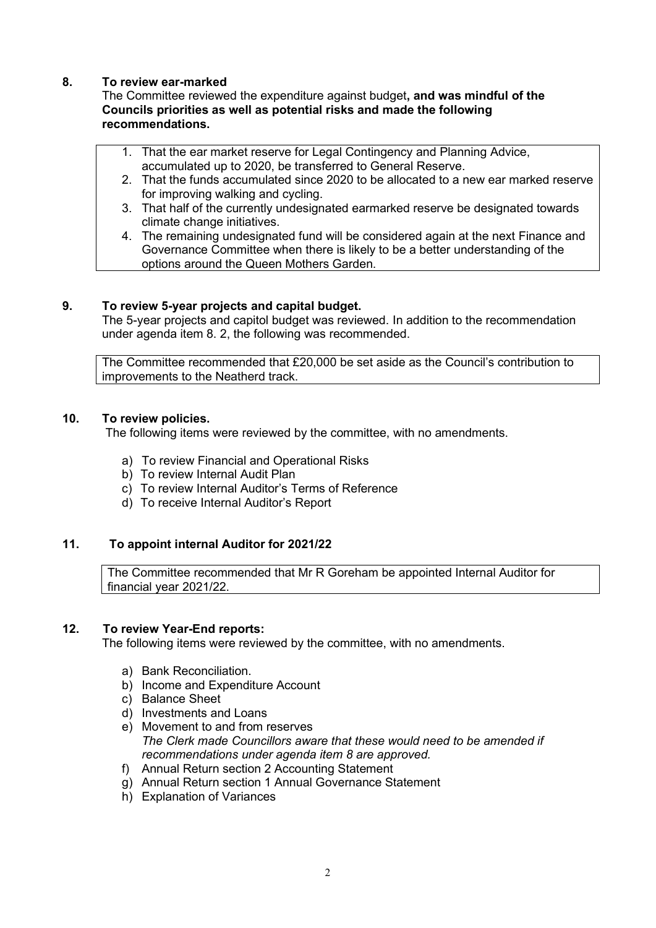#### **8. To review ear-marked**

The Committee reviewed the expenditure against budget**, and was mindful of the Councils priorities as well as potential risks and made the following recommendations.**

- 1. That the ear market reserve for Legal Contingency and Planning Advice, accumulated up to 2020, be transferred to General Reserve.
- 2. That the funds accumulated since 2020 to be allocated to a new ear marked reserve for improving walking and cycling.
- 3. That half of the currently undesignated earmarked reserve be designated towards climate change initiatives.
- 4. The remaining undesignated fund will be considered again at the next Finance and Governance Committee when there is likely to be a better understanding of the options around the Queen Mothers Garden.

#### **9. To review 5-year projects and capital budget.**

The 5-year projects and capitol budget was reviewed. In addition to the recommendation under agenda item 8. 2, the following was recommended.

The Committee recommended that £20,000 be set aside as the Council's contribution to improvements to the Neatherd track.

### **10. To review policies.**

The following items were reviewed by the committee, with no amendments.

- a) To review Financial and Operational Risks
- b) To review Internal Audit Plan
- c) To review Internal Auditor's Terms of Reference
- d) To receive Internal Auditor's Report

#### **11. To appoint internal Auditor for 2021/22**

The Committee recommended that Mr R Goreham be appointed Internal Auditor for financial year 2021/22.

#### **12. To review Year-End reports:**

The following items were reviewed by the committee, with no amendments.

- a) Bank Reconciliation.
- b) Income and Expenditure Account
- c) Balance Sheet
- d) Investments and Loans
- e) Movement to and from reserves *The Clerk made Councillors aware that these would need to be amended if recommendations under agenda item 8 are approved.*
- f) Annual Return section 2 Accounting Statement
- g) Annual Return section 1 Annual Governance Statement
- h) Explanation of Variances